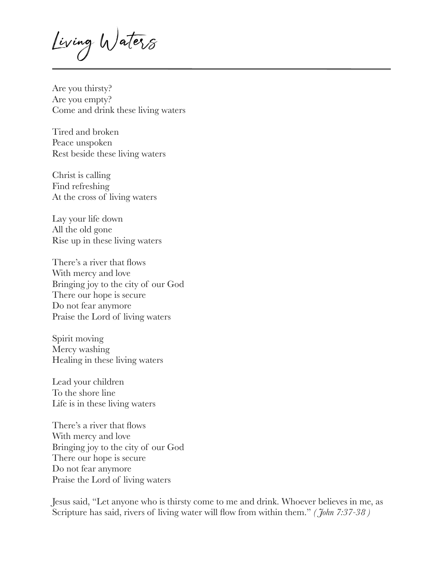Living Waters

Are you thirsty? Are you empty? Come and drink these living waters

Tired and broken Peace unspoken Rest beside these living waters

Christ is calling Find refreshing At the cross of living waters

Lay your life down All the old gone Rise up in these living waters

There's a river that flows With mercy and love Bringing joy to the city of our God There our hope is secure Do not fear anymore Praise the Lord of living waters

Spirit moving Mercy washing Healing in these living waters

Lead your children To the shore line Life is in these living waters

There's a river that flows With mercy and love Bringing joy to the city of our God There our hope is secure Do not fear anymore Praise the Lord of living waters

Jesus said, "Let anyone who is thirsty come to me and drink. Whoever believes in me, as Scripture has said, rivers of living water will flow from within them." *( John 7:37-38 )*